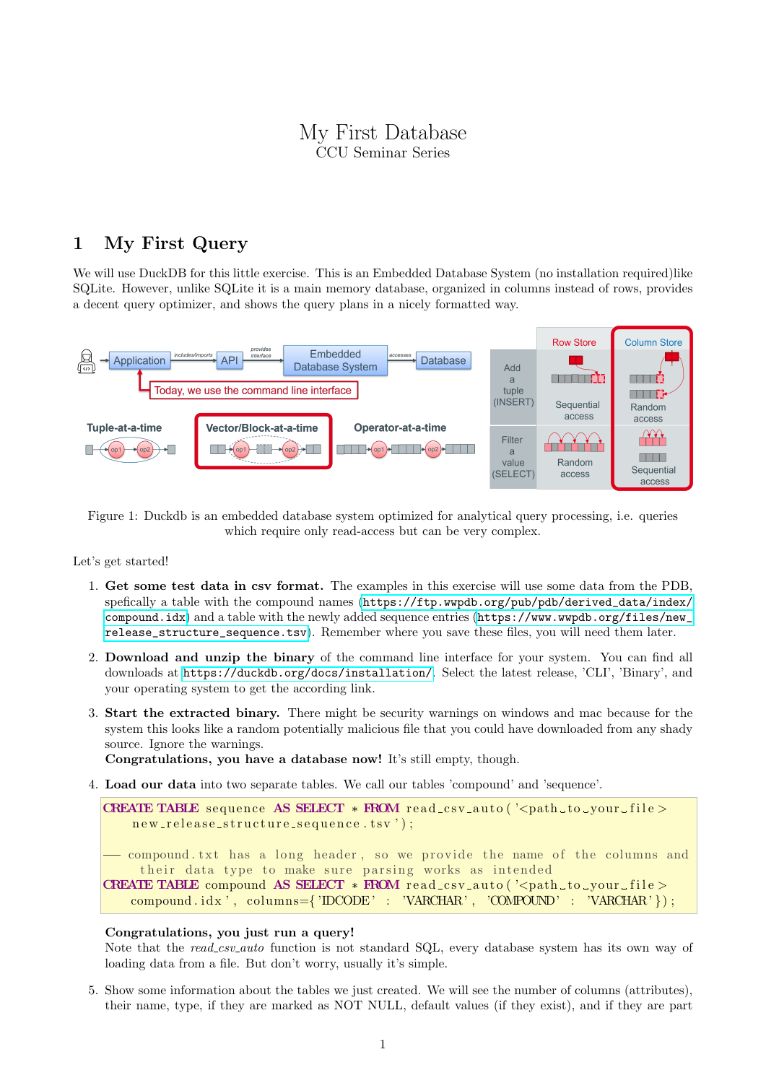# My First Database CCU Seminar Series

## 1 My First Query

We will use DuckDB for this little exercise. This is an Embedded Database System (no installation required)like SQLite. However, unlike SQLite it is a main memory database, organized in columns instead of rows, provides a decent query optimizer, and shows the query plans in a nicely formatted way.



Figure 1: Duckdb is an embedded database system optimized for analytical query processing, i.e. queries which require only read-access but can be very complex.

Let's get started!

- 1. Get some test data in csv format. The examples in this exercise will use some data from the PDB, spefically a table with the compound names ([https://ftp.wwpdb.org/pub/pdb/derived\\_data/index/](https://ftp.wwpdb.org/pub/pdb/derived_data/index/compound.idx) [compound.idx](https://ftp.wwpdb.org/pub/pdb/derived_data/index/compound.idx)) and a table with the newly added sequence entries ([https://www.wwpdb.org/files/new\\_](https://www.wwpdb.org/files/new_release_structure_sequence.tsv) [release\\_structure\\_sequence.tsv](https://www.wwpdb.org/files/new_release_structure_sequence.tsv)). Remember where you save these files, you will need them later.
- 2. Download and unzip the binary of the command line interface for your system. You can find all downloads at <https://duckdb.org/docs/installation/>. Select the latest release, 'CLI', 'Binary', and your operating system to get the according link.
- 3. Start the extracted binary. There might be security warnings on windows and mac because for the system this looks like a random potentially malicious file that you could have downloaded from any shady source. Ignore the warnings.

Congratulations, you have a database now! It's still empty, though.

4. Load our data into two separate tables. We call our tables 'compound' and 'sequence'.

CREATE TABLE sequence AS SELECT  $*$  FROM read\_csv\_auto( $\degree$  <path\_to\_your\_file > new\_release\_structure\_sequence.tsv'); ==compound txt has a long header, so we provide the name of the columns and their data type to make sure parsing works as intended CREATE TABLE compound AS SELECT  $*$  FROM read\_csy\_auto('<path\_to\_your\_file> compound . id x ', columns={' $DCODE$ ' : 'VARCHAR', 'COMPOUND' : 'VARCHAR' }) ;

#### Congratulations, you just run a query!

Note that the read\_csv\_auto function is not standard SQL, every database system has its own way of loading data from a file. But don't worry, usually it's simple.

5. Show some information about the tables we just created. We will see the number of columns (attributes), their name, type, if they are marked as NOT NULL, default values (if they exist), and if they are part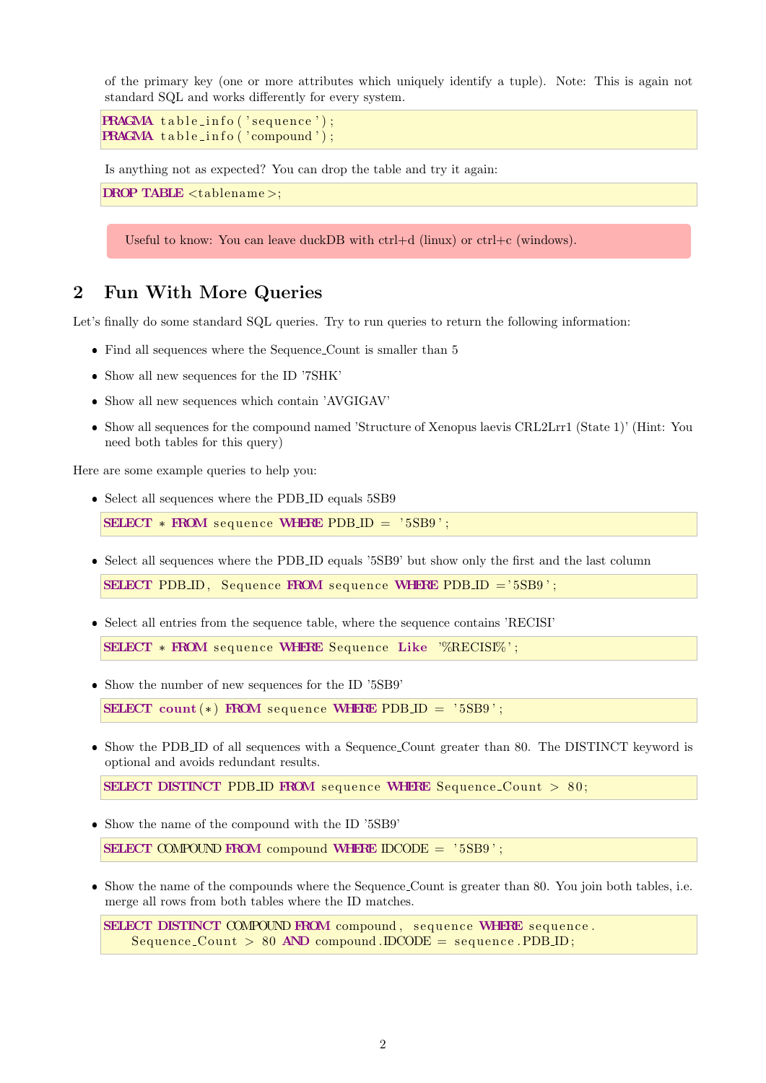of the primary key (one or more attributes which uniquely identify a tuple). Note: This is again not standard SQL and works differently for every system.

```
PRAGMA table_info('sequence');
\mathbf{P}\mathbf{R} \mathbf{A} \mathbf{C} \mathbf{M} \mathbf{A} table_info ('compound');
```
Is anything not as expected? You can drop the table and try it again:

DROP TABLE <tablename >;

Useful to know: You can leave duckDB with ctrl+d (linux) or ctrl+c (windows).

### 2 Fun With More Queries

Let's finally do some standard SQL queries. Try to run queries to return the following information:

- $\bullet~$  Find all sequences where the Sequence Count is smaller than  $5$
- Show all new sequences for the ID '7SHK'
- Show all new sequences which contain 'AVGIGAV'
- Show all sequences for the compound named 'Structure of Xenopus laevis CRL2Lrr1 (State 1)' (Hint: You need both tables for this query)

Here are some example queries to help you:

 $\bullet\,$  Select all sequences where the PDB\_ID equals 5SB9

SELECT  $*$  FROM sequence WHERE PDB ID = '5SB9';

Select all sequences where the PDB ID equals '5SB9' but show only the first and the last column

SELECT PDB ID, Sequence FROM sequence WHERE PDB ID  $=$   $5S$ B9  $\degree$  ;

Select all entries from the sequence table, where the sequence contains 'RECISI'

SELECT \* FROM sequence WHERE Sequence Like '%RECISI%';

 $\bullet\,$  Show the number of new sequences for the ID '5SB9'

SELECT count  $(*)$  FROM sequence WHERE PDB ID = '5SB9';

• Show the PDB ID of all sequences with a Sequence Count greater than 80. The DISTINCT keyword is optional and avoids redundant results.

SELECT DISTINCT PDB ID FROM sequence WHERE Sequence Count > 80;

Show the name of the compound with the ID '5SB9'

SELECT COMPOUND FROM compound WHERE  $\text{DCODE} = '5SB'$ ;

 Show the name of the compounds where the Sequence Count is greater than 80. You join both tables, i.e. merge all rows from both tables where the ID matches.

SELECT DISTINCT COMPOUND FROM compound, sequence WHERE sequence.  $Sequence-Count > 80$  AND compound . IDCODE = sequence . PDB. ID;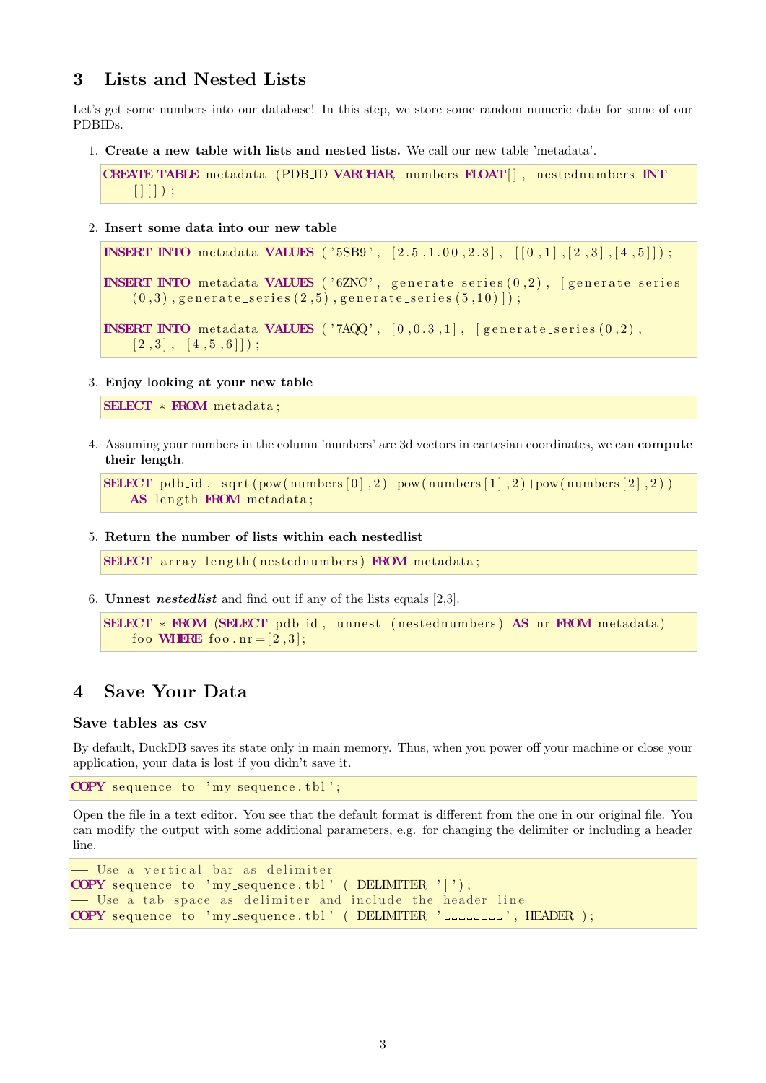### 3 Lists and Nested Lists

Let's get some numbers into our database! In this step, we store some random numeric data for some of our PDBIDs.

1. Create a new table with lists and nested lists. We call our new table 'metadata'.

```
CREATE TABLE metadata (PDB ID VARCHAR, numbers FLOAT[], nestednumbers INT
    [ | | ] ) ;
```
2. Insert some data into our new table

```
INSERT INTO metadata VALUES ('5SB9', [2.5, 1.00, 2.3], [[0,1], [2,3], [4,5]];
INSERT INTO metadata VALUES (^{\prime} 6ZNC', generate_series (0,2), [generate_series
    (0,3), generate_series (2,5), generate_series (5,10) ]);
INSERT INTO metadata VALUES ('7AQQ', [0, 0.3, 1], [generate_series (0, 2),
    [2, 3], [4, 5, 6]);
```
3. Enjoy looking at your new table

```
SELECT * FROM metadata ;
```
4. Assuming your numbers in the column 'numbers' are 3d vectors in cartesian coordinates, we can compute their length.

```
SELECT pdb_id, sqrt(pow(numbers[0], 2) + pow(numbers[1], 2) + pow(numbers[2], 2))AS length FROM metadata;
```
5. Return the number of lists within each nestedlist

SELECT array\_length (nestednumbers) FROM metadata;

6. Unnest nestedlist and find out if any of the lists equals [2,3].

```
SELECT * FROM (SELECT pdb.id, unnest (nestednumbers) AS nr FROM metadata)
    foo WHERE foo . nr = [2, 3];
```
### 4 Save Your Data

#### Save tables as csv

By default, DuckDB saves its state only in main memory. Thus, when you power off your machine or close your application, your data is lost if you didn't save it.

COPY sequence to 'my\_sequence.tbl';

Open the file in a text editor. You see that the default format is different from the one in our original file. You can modify the output with some additional parameters, e.g. for changing the delimiter or including a header line.

```
- Use a vertical bar as delimiter
COPY sequence to 'my_sequence.tbl' ( DELIMITER '|');
- Use a tab space as delimiter and include the header line
COPY sequence to 'my_sequence.tbl' (DELIMITER '_________', HEADER );
```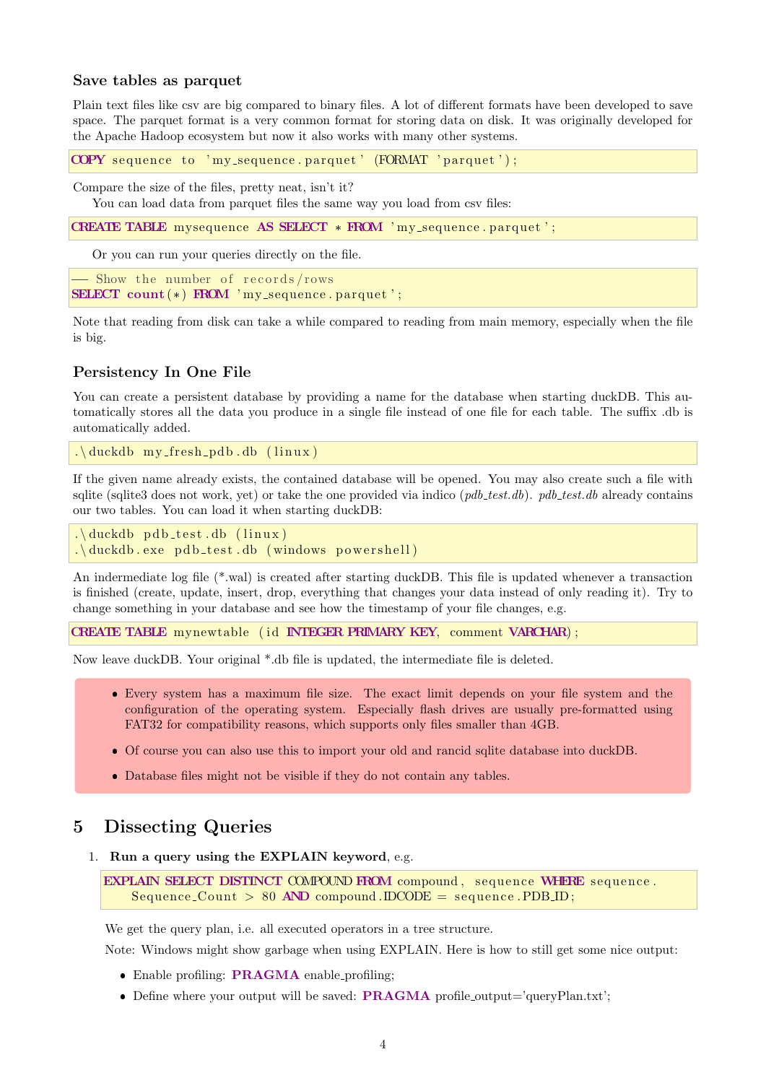#### Save tables as parquet

Plain text files like csv are big compared to binary files. A lot of different formats have been developed to save space. The parquet format is a very common format for storing data on disk. It was originally developed for the Apache Hadoop ecosystem but now it also works with many other systems.

COPY sequence to 'my\_sequence.parquet' (FORMAT 'parquet');

Compare the size of the files, pretty neat, isn't it?

You can load data from parquet files the same way you load from csv files:

CREATE TABLE mysequence AS SELECT  $*$  FROM  $'my$  sequence . parquet ';

Or you can run your queries directly on the file.

 $\frac{1}{\sqrt{2}}$  Show the number of records/rows SELECT count  $(*)$  FROM 'my\_sequence.parquet';

Note that reading from disk can take a while compared to reading from main memory, especially when the file is big.

#### Persistency In One File

You can create a persistent database by providing a name for the database when starting duckDB. This automatically stores all the data you produce in a single file instead of one file for each table. The suffix .db is automatically added.

.  $\ldots$  duckdb my\_fresh\_pdb.db ( $\lim_{x \to a}$ )

If the given name already exists, the contained database will be opened. You may also create such a file with sqlite (sqlite3 does not work, yet) or take the one provided via indico  $(\textit{pdb\_test}.db)$ .  $\textit{pdb\_test}.db$  already contains our two tables. You can load it when starting duckDB:

```
. \ldots duckdb pdb_test . db (\lim_{x \to a})
. \ldots duckdb. exe pdb_test.db (windows powershell)
```
An indermediate log file (\*.wal) is created after starting duckDB. This file is updated whenever a transaction is finished (create, update, insert, drop, everything that changes your data instead of only reading it). Try to change something in your database and see how the timestamp of your file changes, e.g.

CREATE TABLE mynewtable (id INTEGER PRIMARY KEY, comment VARCHAR);

Now leave duckDB. Your original \*.db file is updated, the intermediate file is deleted.

- Every system has a maximum file size. The exact limit depends on your file system and the configuration of the operating system. Especially flash drives are usually pre-formatted using FAT32 for compatibility reasons, which supports only files smaller than 4GB.
- Of course you can also use this to import your old and rancid sqlite database into duckDB.
- Database files might not be visible if they do not contain any tables.

### 5 Dissecting Queries

1. Run a query using the EXPLAIN keyword, e.g.

```
EXPLAIN SELECT DISTINCT COMPOUND FROM compound, sequence WHERE sequence.
   Sequence\_Count > 80 AND compound . DCODE = sequence . PDB ID;
```
We get the query plan, i.e. all executed operators in a tree structure.

Note: Windows might show garbage when using EXPLAIN. Here is how to still get some nice output:

- Enable profiling: PRAGMA enable profiling;
- Define where your output will be saved: **PRAGMA** profile\_output='queryPlan.txt';